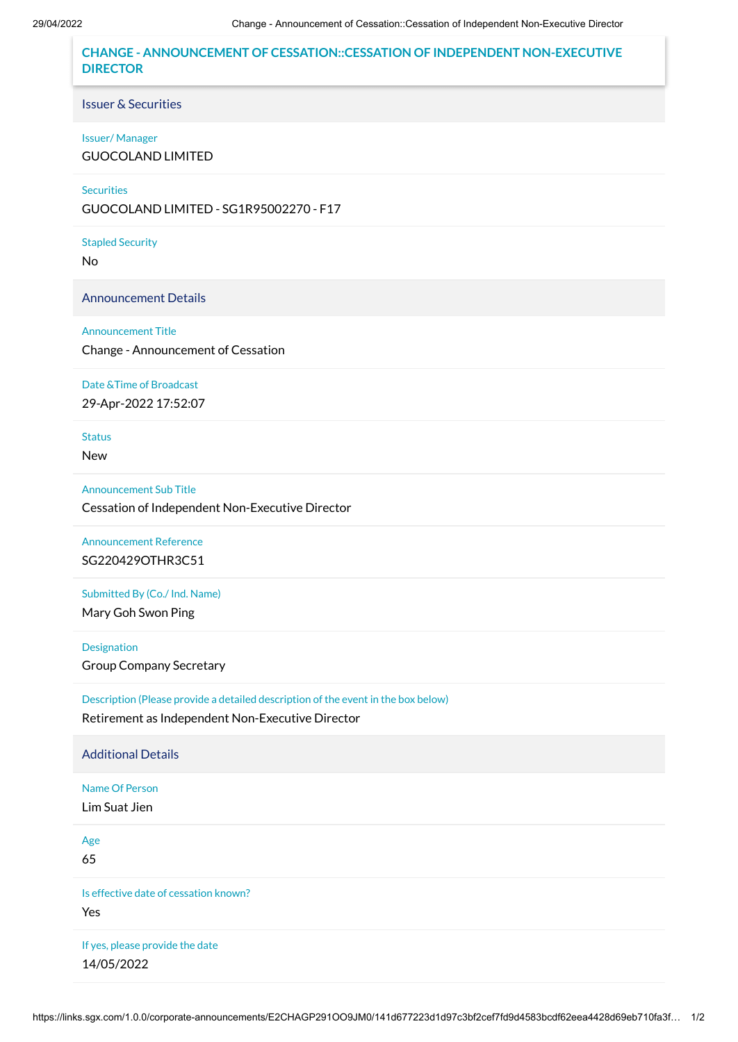**CHANGE - ANNOUNCEMENT OF CESSATION::CESSATION OF INDEPENDENT NON-EXECUTIVE DIRECTOR**

Issuer & Securities

## Issuer/ Manager

GUOCOLAND LIMITED

**Securities** 

GUOCOLAND LIMITED - SG1R95002270 - F17

Stapled Security

No

Announcement Details

## Announcement Title

Change - Announcement of Cessation

## Date &Time of Broadcast

29-Apr-2022 17:52:07

Status

New

Announcement Sub Title

Cessation of Independent Non-Executive Director

Announcement Reference SG220429OTHR3C51

Submitted By (Co./ Ind. Name)

Mary Goh Swon Ping

Designation Group Company Secretary

Description (Please provide a detailed description of the event in the box below) Retirement as Independent Non-Executive Director

Additional Details

Name Of Person Lim Suat Jien

Age

65

Is effective date of cessation known? Yes

If yes, please provide the date 14/05/2022